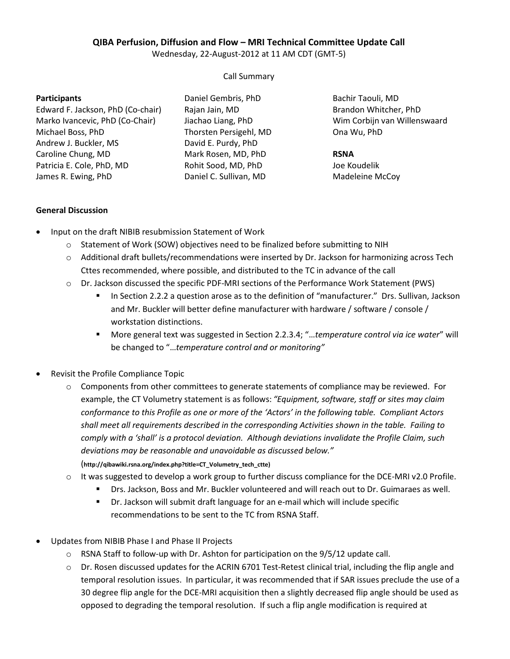# **QIBA Perfusion, Diffusion and Flow – MRI Technical Committee Update Call**

Wednesday, 22-August-2012 at 11 AM CDT (GMT-5)

Call Summary

#### **Participants**

Edward F. Jackson, PhD (Co-chair) Marko Ivancevic, PhD (Co-Chair) Michael Boss, PhD Andrew J. Buckler, MS Caroline Chung, MD Patricia E. Cole, PhD, MD James R. Ewing, PhD

Daniel Gembris, PhD Rajan Jain, MD Jiachao Liang, PhD Thorsten Persigehl, MD David E. Purdy, PhD Mark Rosen, MD, PhD Rohit Sood, MD, PhD Daniel C. Sullivan, MD

Bachir Taouli, MD Brandon Whitcher, PhD Wim Corbijn van Willenswaard Ona Wu, PhD

### **RSNA**

Joe Koudelik Madeleine McCoy

### **General Discussion**

- Input on the draft NIBIB resubmission Statement of Work
	- $\circ$  Statement of Work (SOW) objectives need to be finalized before submitting to NIH
	- $\circ$  Additional draft bullets/recommendations were inserted by Dr. Jackson for harmonizing across Tech Cttes recommended, where possible, and distributed to the TC in advance of the call
	- o Dr. Jackson discussed the specific PDF-MRI sections of the Performance Work Statement (PWS)
		- **IF** In Section 2.2.2 a question arose as to the definition of "manufacturer." Drs. Sullivan, Jackson and Mr. Buckler will better define manufacturer with hardware / software / console / workstation distinctions.
		- More general text was suggested in Section 2.2.3.4; "…*temperature control via ice water*" will be changed to "…*temperature control and or monitoring"*
- Revisit the Profile Compliance Topic
	- $\circ$  Components from other committees to generate statements of compliance may be reviewed. For example, the CT Volumetry statement is as follows: *"Equipment, software, staff or sites may claim conformance to this Profile as one or more of the 'Actors' in the following table. Compliant Actors shall meet all requirements described in the corresponding Activities shown in the table. Failing to comply with a 'shall' is a protocol deviation. Although deviations invalidate the Profile Claim, such deviations may be reasonable and unavoidable as discussed below."*

(**http://qibawiki.rsna.org/index.php?title=CT\_Volumetry\_tech\_ctte)**

- $\circ$  It was suggested to develop a work group to further discuss compliance for the DCE-MRI v2.0 Profile.
	- Drs. Jackson, Boss and Mr. Buckler volunteered and will reach out to Dr. Guimaraes as well.
	- Dr. Jackson will submit draft language for an e-mail which will include specific recommendations to be sent to the TC from RSNA Staff.
- Updates from NIBIB Phase I and Phase II Projects
	- $\circ$  RSNA Staff to follow-up with Dr. Ashton for participation on the 9/5/12 update call.
	- o Dr. Rosen discussed updates for the ACRIN 6701 Test-Retest clinical trial, including the flip angle and temporal resolution issues. In particular, it was recommended that if SAR issues preclude the use of a 30 degree flip angle for the DCE-MRI acquisition then a slightly decreased flip angle should be used as opposed to degrading the temporal resolution. If such a flip angle modification is required at